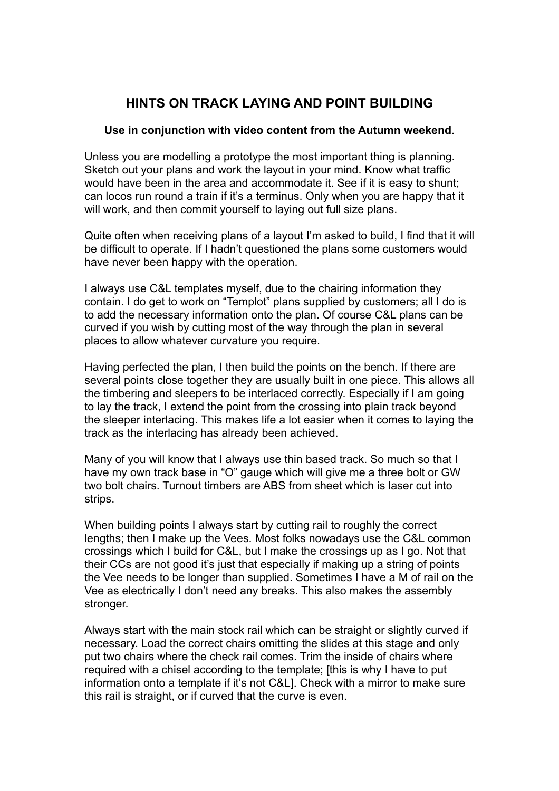## **HINTS ON TRACK LAYING AND POINT BUILDING**

## **Use in conjunction with video content from the Autumn weekend**.

Unless you are modelling a prototype the most important thing is planning. Sketch out your plans and work the layout in your mind. Know what traffic would have been in the area and accommodate it. See if it is easy to shunt; can locos run round a train if it's a terminus. Only when you are happy that it will work, and then commit yourself to laying out full size plans.

Quite often when receiving plans of a layout I'm asked to build, I find that it will be difficult to operate. If I hadn't questioned the plans some customers would have never been happy with the operation.

I always use C&L templates myself, due to the chairing information they contain. I do get to work on "Templot" plans supplied by customers; all I do is to add the necessary information onto the plan. Of course C&L plans can be curved if you wish by cutting most of the way through the plan in several places to allow whatever curvature you require.

Having perfected the plan, I then build the points on the bench. If there are several points close together they are usually built in one piece. This allows all the timbering and sleepers to be interlaced correctly. Especially if I am going to lay the track, I extend the point from the crossing into plain track beyond the sleeper interlacing. This makes life a lot easier when it comes to laying the track as the interlacing has already been achieved.

Many of you will know that I always use thin based track. So much so that I have my own track base in "O" gauge which will give me a three bolt or GW two bolt chairs. Turnout timbers are ABS from sheet which is laser cut into strips.

When building points I always start by cutting rail to roughly the correct lengths; then I make up the Vees. Most folks nowadays use the C&L common crossings which I build for C&L, but I make the crossings up as I go. Not that their CCs are not good it's just that especially if making up a string of points the Vee needs to be longer than supplied. Sometimes I have a M of rail on the Vee as electrically I don't need any breaks. This also makes the assembly stronger.

Always start with the main stock rail which can be straight or slightly curved if necessary. Load the correct chairs omitting the slides at this stage and only put two chairs where the check rail comes. Trim the inside of chairs where required with a chisel according to the template; [this is why I have to put information onto a template if it's not C&L]. Check with a mirror to make sure this rail is straight, or if curved that the curve is even.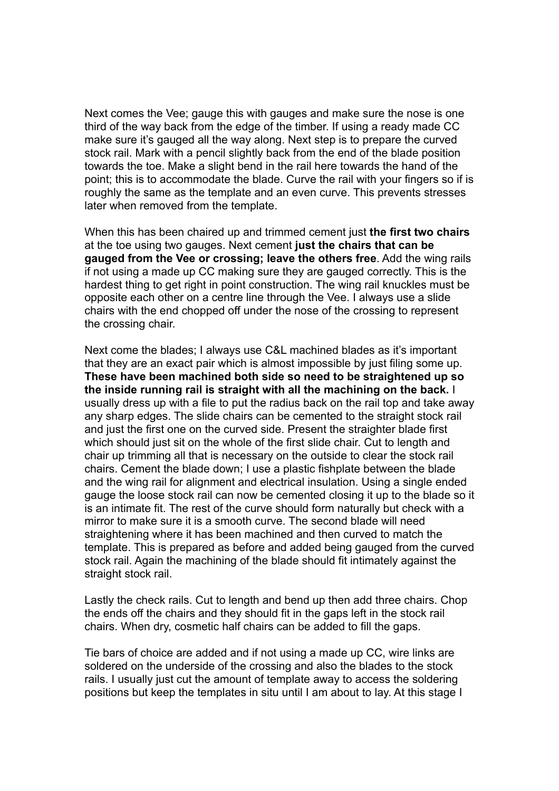Next comes the Vee; gauge this with gauges and make sure the nose is one third of the way back from the edge of the timber. If using a ready made CC make sure it's gauged all the way along. Next step is to prepare the curved stock rail. Mark with a pencil slightly back from the end of the blade position towards the toe. Make a slight bend in the rail here towards the hand of the point; this is to accommodate the blade. Curve the rail with your fingers so if is roughly the same as the template and an even curve. This prevents stresses later when removed from the template.

When this has been chaired up and trimmed cement just **the first two chairs**  at the toe using two gauges. Next cement **just the chairs that can be gauged from the Vee or crossing; leave the others free**. Add the wing rails if not using a made up CC making sure they are gauged correctly. This is the hardest thing to get right in point construction. The wing rail knuckles must be opposite each other on a centre line through the Vee. I always use a slide chairs with the end chopped off under the nose of the crossing to represent the crossing chair.

Next come the blades; I always use C&L machined blades as it's important that they are an exact pair which is almost impossible by just filing some up. **These have been machined both side so need to be straightened up so the inside running rail is straight with all the machining on the back.** I usually dress up with a file to put the radius back on the rail top and take away any sharp edges. The slide chairs can be cemented to the straight stock rail and just the first one on the curved side. Present the straighter blade first which should just sit on the whole of the first slide chair. Cut to length and chair up trimming all that is necessary on the outside to clear the stock rail chairs. Cement the blade down; I use a plastic fishplate between the blade and the wing rail for alignment and electrical insulation. Using a single ended gauge the loose stock rail can now be cemented closing it up to the blade so it is an intimate fit. The rest of the curve should form naturally but check with a mirror to make sure it is a smooth curve. The second blade will need straightening where it has been machined and then curved to match the template. This is prepared as before and added being gauged from the curved stock rail. Again the machining of the blade should fit intimately against the straight stock rail.

Lastly the check rails. Cut to length and bend up then add three chairs. Chop the ends off the chairs and they should fit in the gaps left in the stock rail chairs. When dry, cosmetic half chairs can be added to fill the gaps.

Tie bars of choice are added and if not using a made up CC, wire links are soldered on the underside of the crossing and also the blades to the stock rails. I usually just cut the amount of template away to access the soldering positions but keep the templates in situ until I am about to lay. At this stage I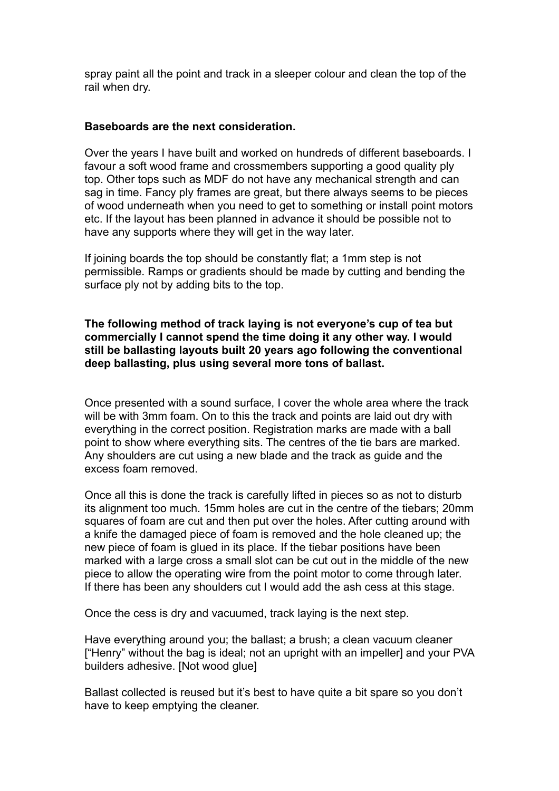spray paint all the point and track in a sleeper colour and clean the top of the rail when dry.

## **Baseboards are the next consideration.**

Over the years I have built and worked on hundreds of different baseboards. I favour a soft wood frame and crossmembers supporting a good quality ply top. Other tops such as MDF do not have any mechanical strength and can sag in time. Fancy ply frames are great, but there always seems to be pieces of wood underneath when you need to get to something or install point motors etc. If the layout has been planned in advance it should be possible not to have any supports where they will get in the way later.

If joining boards the top should be constantly flat; a 1mm step is not permissible. Ramps or gradients should be made by cutting and bending the surface ply not by adding bits to the top.

**The following method of track laying is not everyone's cup of tea but commercially I cannot spend the time doing it any other way. I would still be ballasting layouts built 20 years ago following the conventional deep ballasting, plus using several more tons of ballast.** 

Once presented with a sound surface, I cover the whole area where the track will be with 3mm foam. On to this the track and points are laid out dry with everything in the correct position. Registration marks are made with a ball point to show where everything sits. The centres of the tie bars are marked. Any shoulders are cut using a new blade and the track as guide and the excess foam removed.

Once all this is done the track is carefully lifted in pieces so as not to disturb its alignment too much. 15mm holes are cut in the centre of the tiebars; 20mm squares of foam are cut and then put over the holes. After cutting around with a knife the damaged piece of foam is removed and the hole cleaned up; the new piece of foam is glued in its place. If the tiebar positions have been marked with a large cross a small slot can be cut out in the middle of the new piece to allow the operating wire from the point motor to come through later. If there has been any shoulders cut I would add the ash cess at this stage.

Once the cess is dry and vacuumed, track laying is the next step.

Have everything around you; the ballast; a brush; a clean vacuum cleaner ["Henry" without the bag is ideal; not an upright with an impeller] and your PVA builders adhesive. [Not wood glue]

Ballast collected is reused but it's best to have quite a bit spare so you don't have to keep emptying the cleaner.